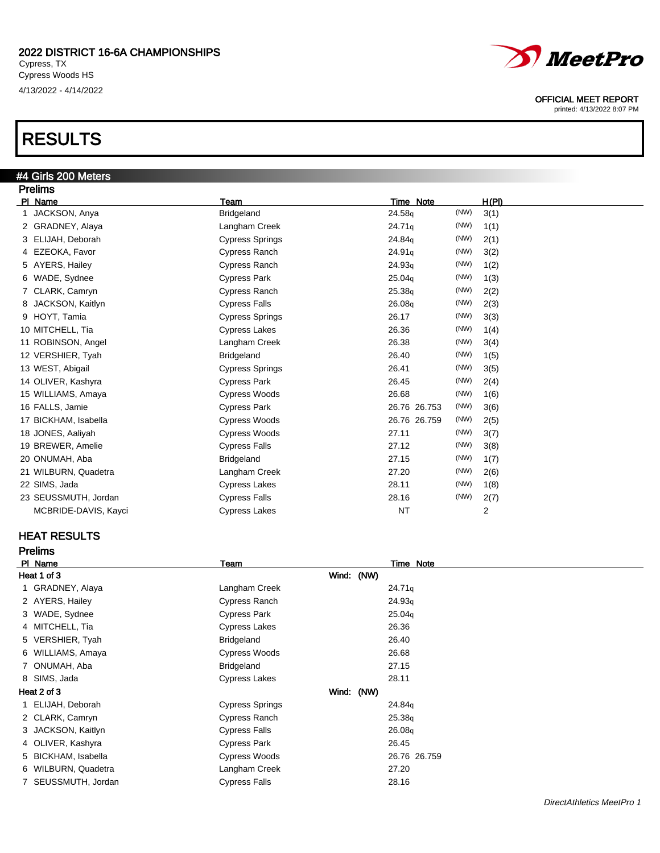# RESULTS

## #4 Girls 200 Meters

| <b>Prelims</b>        |                        |                    |      |       |
|-----------------------|------------------------|--------------------|------|-------|
| PI Name               | Team                   | Time Note          |      | H(PI) |
| JACKSON, Anya         | <b>Bridgeland</b>      | 24.58g             | (NW) | 3(1)  |
| 2 GRADNEY, Alaya      | Langham Creek          | 24.71q             | (NW) | 1(1)  |
| 3 ELIJAH, Deborah     | <b>Cypress Springs</b> | 24.84g             | (NW) | 2(1)  |
| 4 EZEOKA, Favor       | Cypress Ranch          | 24.91q             | (NW) | 3(2)  |
| 5 AYERS, Hailey       | <b>Cypress Ranch</b>   | 24.93q             | (NW) | 1(2)  |
| 6 WADE, Sydnee        | <b>Cypress Park</b>    | 25.04 <sub>q</sub> | (NW) | 1(3)  |
| CLARK, Camryn         | Cypress Ranch          | 25.38 <sub>q</sub> | (NW) | 2(2)  |
| JACKSON, Kaitlyn<br>8 | <b>Cypress Falls</b>   | 26.08q             | (NW) | 2(3)  |
| 9 HOYT, Tamia         | <b>Cypress Springs</b> | 26.17              | (NW) | 3(3)  |
| 10 MITCHELL, Tia      | <b>Cypress Lakes</b>   | 26.36              | (NW) | 1(4)  |
| 11 ROBINSON, Angel    | Langham Creek          | 26.38              | (NW) | 3(4)  |
| 12 VERSHIER, Tyah     | <b>Bridgeland</b>      | 26.40              | (NW) | 1(5)  |
| 13 WEST, Abigail      | <b>Cypress Springs</b> | 26.41              | (NW) | 3(5)  |
| 14 OLIVER, Kashyra    | <b>Cypress Park</b>    | 26.45              | (NW) | 2(4)  |
| 15 WILLIAMS, Amaya    | <b>Cypress Woods</b>   | 26.68              | (NW) | 1(6)  |
| 16 FALLS, Jamie       | <b>Cypress Park</b>    | 26.76 26.753       | (NW) | 3(6)  |
| 17 BICKHAM, Isabella  | <b>Cypress Woods</b>   | 26.76 26.759       | (NW) | 2(5)  |
| 18 JONES, Aaliyah     | <b>Cypress Woods</b>   | 27.11              | (NW) | 3(7)  |
| 19 BREWER, Amelie     | <b>Cypress Falls</b>   | 27.12              | (NW) | 3(8)  |
| 20 ONUMAH, Aba        | <b>Bridgeland</b>      | 27.15              | (NW) | 1(7)  |
| 21 WILBURN, Quadetra  | Langham Creek          | 27.20              | (NW) | 2(6)  |
| 22 SIMS, Jada         | <b>Cypress Lakes</b>   | 28.11              | (NW) | 1(8)  |
| 23 SEUSSMUTH, Jordan  | <b>Cypress Falls</b>   | 28.16              | (NW) | 2(7)  |
| MCBRIDE-DAVIS, Kayci  | <b>Cypress Lakes</b>   | <b>NT</b>          |      | 2     |

### HEAT RESULTS

| <b>Prelims</b>      |                        |                    |  |
|---------------------|------------------------|--------------------|--|
| PI Name             | Team                   | Time Note          |  |
| Heat 1 of 3         |                        | Wind: (NW)         |  |
| GRADNEY, Alaya      | Langham Creek          | 24.71q             |  |
| 2 AYERS, Hailey     | Cypress Ranch          | 24.93q             |  |
| 3 WADE, Sydnee      | <b>Cypress Park</b>    | 25.04 <sub>g</sub> |  |
| 4 MITCHELL, Tia     | <b>Cypress Lakes</b>   | 26.36              |  |
| 5 VERSHIER, Tyah    | <b>Bridgeland</b>      | 26.40              |  |
| 6 WILLIAMS, Amaya   | Cypress Woods          | 26.68              |  |
| 7 ONUMAH, Aba       | <b>Bridgeland</b>      | 27.15              |  |
| 8 SIMS, Jada        | <b>Cypress Lakes</b>   | 28.11              |  |
| Heat 2 of 3         |                        | Wind: (NW)         |  |
| ELIJAH, Deborah     | <b>Cypress Springs</b> | 24.84 <sub>g</sub> |  |
| 2 CLARK, Camryn     | Cypress Ranch          | 25.38q             |  |
| 3 JACKSON, Kaitlyn  | <b>Cypress Falls</b>   | 26.08 <sub>q</sub> |  |
| 4 OLIVER, Kashyra   | <b>Cypress Park</b>    | 26.45              |  |
| 5 BICKHAM, Isabella | Cypress Woods          | 26.76 26.759       |  |
| 6 WILBURN, Quadetra | Langham Creek          | 27.20              |  |
| SEUSSMUTH, Jordan   | Cypress Falls          | 28.16              |  |



OFFICIAL MEET REPORT

printed: 4/13/2022 8:07 PM